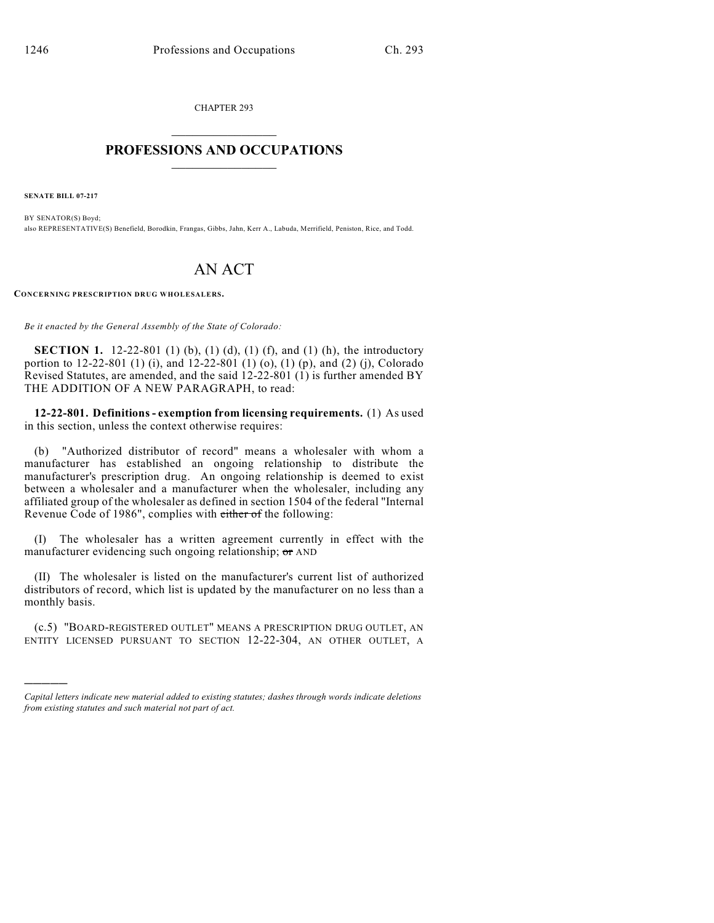CHAPTER 293  $\mathcal{L}_\text{max}$  . The set of the set of the set of the set of the set of the set of the set of the set of the set of the set of the set of the set of the set of the set of the set of the set of the set of the set of the set

## **PROFESSIONS AND OCCUPATIONS**  $\frac{1}{2}$  ,  $\frac{1}{2}$  ,  $\frac{1}{2}$  ,  $\frac{1}{2}$  ,  $\frac{1}{2}$  ,  $\frac{1}{2}$

**SENATE BILL 07-217**

)))))

BY SENATOR(S) Boyd; also REPRESENTATIVE(S) Benefield, Borodkin, Frangas, Gibbs, Jahn, Kerr A., Labuda, Merrifield, Peniston, Rice, and Todd.

## AN ACT

**CONCERNING PRESCRIPTION DRUG WHOLESALERS.**

*Be it enacted by the General Assembly of the State of Colorado:*

**SECTION 1.** 12-22-801 (1) (b), (1) (d), (1) (f), and (1) (h), the introductory portion to 12-22-801 (1) (i), and 12-22-801 (1) (o), (1) (p), and (2) (j), Colorado Revised Statutes, are amended, and the said 12-22-801 (1) is further amended BY THE ADDITION OF A NEW PARAGRAPH, to read:

**12-22-801. Definitions - exemption from licensing requirements.** (1) As used in this section, unless the context otherwise requires:

(b) "Authorized distributor of record" means a wholesaler with whom a manufacturer has established an ongoing relationship to distribute the manufacturer's prescription drug. An ongoing relationship is deemed to exist between a wholesaler and a manufacturer when the wholesaler, including any affiliated group of the wholesaler as defined in section 1504 of the federal "Internal Revenue Code of 1986", complies with either of the following:

(I) The wholesaler has a written agreement currently in effect with the manufacturer evidencing such ongoing relationship; or AND

(II) The wholesaler is listed on the manufacturer's current list of authorized distributors of record, which list is updated by the manufacturer on no less than a monthly basis.

(c.5) "BOARD-REGISTERED OUTLET" MEANS A PRESCRIPTION DRUG OUTLET, AN ENTITY LICENSED PURSUANT TO SECTION 12-22-304, AN OTHER OUTLET, A

*Capital letters indicate new material added to existing statutes; dashes through words indicate deletions from existing statutes and such material not part of act.*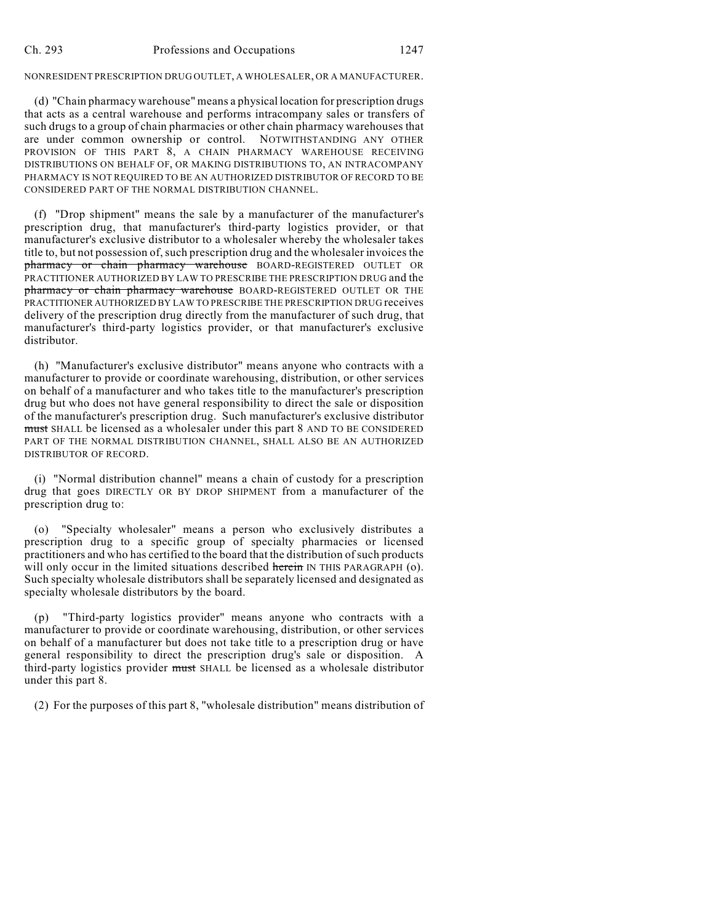## NONRESIDENT PRESCRIPTION DRUG OUTLET, A WHOLESALER, OR A MANUFACTURER.

(d) "Chain pharmacy warehouse" means a physical location for prescription drugs that acts as a central warehouse and performs intracompany sales or transfers of such drugs to a group of chain pharmacies or other chain pharmacy warehouses that are under common ownership or control. NOTWITHSTANDING ANY OTHER PROVISION OF THIS PART 8, A CHAIN PHARMACY WAREHOUSE RECEIVING DISTRIBUTIONS ON BEHALF OF, OR MAKING DISTRIBUTIONS TO, AN INTRACOMPANY PHARMACY IS NOT REQUIRED TO BE AN AUTHORIZED DISTRIBUTOR OF RECORD TO BE CONSIDERED PART OF THE NORMAL DISTRIBUTION CHANNEL.

(f) "Drop shipment" means the sale by a manufacturer of the manufacturer's prescription drug, that manufacturer's third-party logistics provider, or that manufacturer's exclusive distributor to a wholesaler whereby the wholesaler takes title to, but not possession of, such prescription drug and the wholesaler invoices the pharmacy or chain pharmacy warehouse BOARD-REGISTERED OUTLET OR PRACTITIONER AUTHORIZED BY LAW TO PRESCRIBE THE PRESCRIPTION DRUG and the pharmacy or chain pharmacy warehouse BOARD-REGISTERED OUTLET OR THE PRACTITIONER AUTHORIZED BY LAW TO PRESCRIBE THE PRESCRIPTION DRUG receives delivery of the prescription drug directly from the manufacturer of such drug, that manufacturer's third-party logistics provider, or that manufacturer's exclusive distributor.

(h) "Manufacturer's exclusive distributor" means anyone who contracts with a manufacturer to provide or coordinate warehousing, distribution, or other services on behalf of a manufacturer and who takes title to the manufacturer's prescription drug but who does not have general responsibility to direct the sale or disposition of the manufacturer's prescription drug. Such manufacturer's exclusive distributor must SHALL be licensed as a wholesaler under this part 8 AND TO BE CONSIDERED PART OF THE NORMAL DISTRIBUTION CHANNEL, SHALL ALSO BE AN AUTHORIZED DISTRIBUTOR OF RECORD.

(i) "Normal distribution channel" means a chain of custody for a prescription drug that goes DIRECTLY OR BY DROP SHIPMENT from a manufacturer of the prescription drug to:

(o) "Specialty wholesaler" means a person who exclusively distributes a prescription drug to a specific group of specialty pharmacies or licensed practitioners and who has certified to the board that the distribution of such products will only occur in the limited situations described herein IN THIS PARAGRAPH (0). Such specialty wholesale distributors shall be separately licensed and designated as specialty wholesale distributors by the board.

(p) "Third-party logistics provider" means anyone who contracts with a manufacturer to provide or coordinate warehousing, distribution, or other services on behalf of a manufacturer but does not take title to a prescription drug or have general responsibility to direct the prescription drug's sale or disposition. A third-party logistics provider must SHALL be licensed as a wholesale distributor under this part 8.

(2) For the purposes of this part 8, "wholesale distribution" means distribution of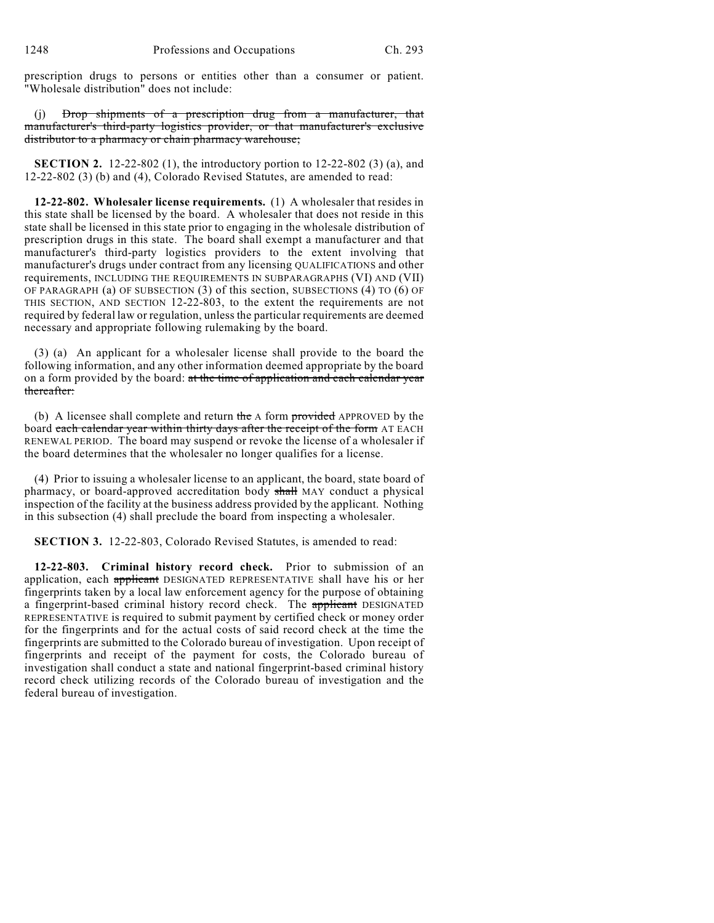prescription drugs to persons or entities other than a consumer or patient. "Wholesale distribution" does not include:

(j) Drop shipments of a prescription drug from a manufacturer, that manufacturer's third-party logistics provider, or that manufacturer's exclusive distributor to a pharmacy or chain pharmacy warehouse;

**SECTION 2.** 12-22-802 (1), the introductory portion to 12-22-802 (3) (a), and 12-22-802 (3) (b) and (4), Colorado Revised Statutes, are amended to read:

**12-22-802. Wholesaler license requirements.** (1) A wholesaler that resides in this state shall be licensed by the board. A wholesaler that does not reside in this state shall be licensed in this state prior to engaging in the wholesale distribution of prescription drugs in this state. The board shall exempt a manufacturer and that manufacturer's third-party logistics providers to the extent involving that manufacturer's drugs under contract from any licensing QUALIFICATIONS and other requirements, INCLUDING THE REQUIREMENTS IN SUBPARAGRAPHS (VI) AND (VII) OF PARAGRAPH (a) OF SUBSECTION (3) of this section, SUBSECTIONS (4) TO (6) OF THIS SECTION, AND SECTION 12-22-803, to the extent the requirements are not required by federal law or regulation, unless the particular requirements are deemed necessary and appropriate following rulemaking by the board.

(3) (a) An applicant for a wholesaler license shall provide to the board the following information, and any other information deemed appropriate by the board on a form provided by the board: at the time of application and each calendar year thereafter:

(b) A licensee shall complete and return the  $\Delta$  form provided APPROVED by the board each calendar year within thirty days after the receipt of the form AT EACH RENEWAL PERIOD. The board may suspend or revoke the license of a wholesaler if the board determines that the wholesaler no longer qualifies for a license.

(4) Prior to issuing a wholesaler license to an applicant, the board, state board of pharmacy, or board-approved accreditation body shall MAY conduct a physical inspection of the facility at the business address provided by the applicant. Nothing in this subsection (4) shall preclude the board from inspecting a wholesaler.

**SECTION 3.** 12-22-803, Colorado Revised Statutes, is amended to read:

**12-22-803. Criminal history record check.** Prior to submission of an application, each applicant DESIGNATED REPRESENTATIVE shall have his or her fingerprints taken by a local law enforcement agency for the purpose of obtaining a fingerprint-based criminal history record check. The applicant DESIGNATED REPRESENTATIVE is required to submit payment by certified check or money order for the fingerprints and for the actual costs of said record check at the time the fingerprints are submitted to the Colorado bureau of investigation. Upon receipt of fingerprints and receipt of the payment for costs, the Colorado bureau of investigation shall conduct a state and national fingerprint-based criminal history record check utilizing records of the Colorado bureau of investigation and the federal bureau of investigation.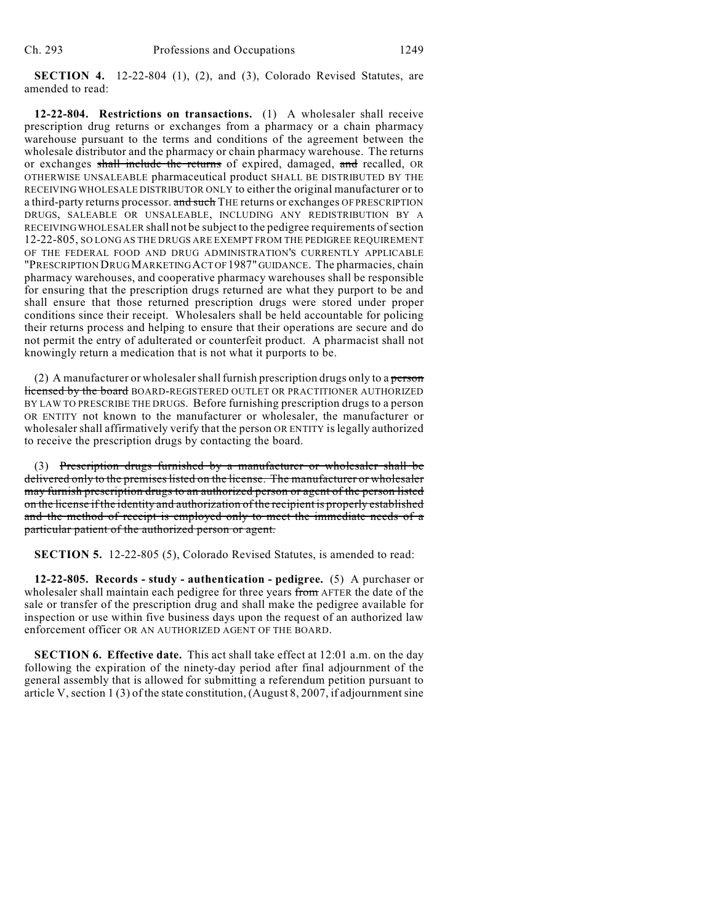**SECTION 4.** 12-22-804 (1), (2), and (3), Colorado Revised Statutes, are amended to read:

**12-22-804. Restrictions on transactions.** (1) A wholesaler shall receive prescription drug returns or exchanges from a pharmacy or a chain pharmacy warehouse pursuant to the terms and conditions of the agreement between the wholesale distributor and the pharmacy or chain pharmacy warehouse. The returns or exchanges shall include the returns of expired, damaged, and recalled, OR OTHERWISE UNSALEABLE pharmaceutical product SHALL BE DISTRIBUTED BY THE RECEIVING WHOLESALE DISTRIBUTOR ONLY to either the original manufacturer or to a third-party returns processor. and such THE returns or exchanges OF PRESCRIPTION DRUGS, SALEABLE OR UNSALEABLE, INCLUDING ANY REDISTRIBUTION BY A RECEIVING WHOLESALER shall not be subject to the pedigree requirements of section 12-22-805, SO LONG AS THE DRUGS ARE EXEMPT FROM THE PEDIGREE REQUIREMENT OF THE FEDERAL FOOD AND DRUG ADMINISTRATION'S CURRENTLY APPLICABLE "PRESCRIPTION DRUG MARKETING ACT OF 1987" GUIDANCE. The pharmacies, chain pharmacy warehouses, and cooperative pharmacy warehouses shall be responsible for ensuring that the prescription drugs returned are what they purport to be and shall ensure that those returned prescription drugs were stored under proper conditions since their receipt. Wholesalers shall be held accountable for policing their returns process and helping to ensure that their operations are secure and do not permit the entry of adulterated or counterfeit product. A pharmacist shall not knowingly return a medication that is not what it purports to be.

(2) A manufacturer or wholesaler shall furnish prescription drugs only to a person licensed by the board BOARD-REGISTERED OUTLET OR PRACTITIONER AUTHORIZED BY LAW TO PRESCRIBE THE DRUGS. Before furnishing prescription drugs to a person OR ENTITY not known to the manufacturer or wholesaler, the manufacturer or wholesaler shall affirmatively verify that the person OR ENTITY is legally authorized to receive the prescription drugs by contacting the board.

(3) Prescription drugs furnished by a manufacturer or wholesaler shall be delivered only to the premises listed on the license. The manufacturer or wholesaler may furnish prescription drugs to an authorized person or agent of the person listed on the license if the identity and authorization of the recipient is properly established and the method of receipt is employed only to meet the immediate needs of a particular patient of the authorized person or agent.

**SECTION 5.** 12-22-805 (5), Colorado Revised Statutes, is amended to read:

**12-22-805. Records - study - authentication - pedigree.** (5) A purchaser or wholesaler shall maintain each pedigree for three years from AFTER the date of the sale or transfer of the prescription drug and shall make the pedigree available for inspection or use within five business days upon the request of an authorized law enforcement officer OR AN AUTHORIZED AGENT OF THE BOARD.

**SECTION 6. Effective date.** This act shall take effect at 12:01 a.m. on the day following the expiration of the ninety-day period after final adjournment of the general assembly that is allowed for submitting a referendum petition pursuant to article V, section 1 (3) of the state constitution, (August 8, 2007, if adjournment sine